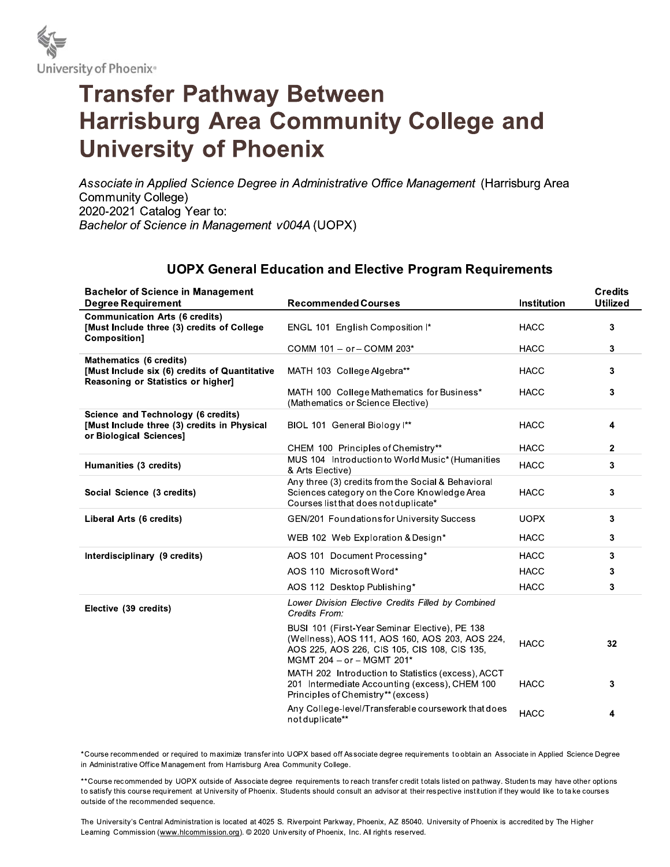

## **Transfer Pathway Between Harrisburg Area Community College and University of Phoenix**

Associate in Applied Science Degree in Administrative Office Management (Harrisburg Area **Community College)** 2020-2021 Catalog Year to: Bachelor of Science in Management v004A (UOPX)

## **UOPX General Education and Elective Program Requirements**

| <b>Bachelor of Science in Management</b>                                                                       |                                                                                                                                                                                |                    | <b>Credits</b>  |
|----------------------------------------------------------------------------------------------------------------|--------------------------------------------------------------------------------------------------------------------------------------------------------------------------------|--------------------|-----------------|
| <b>Degree Requirement</b>                                                                                      | <b>Recommended Courses</b>                                                                                                                                                     | <b>Institution</b> | <b>Utilized</b> |
| <b>Communication Arts (6 credits)</b><br>[Must Include three (3) credits of College<br>Composition]            | ENGL 101 English Composition I*                                                                                                                                                | <b>HACC</b>        | 3               |
|                                                                                                                | COMM 101 - or - COMM 203*                                                                                                                                                      | <b>HACC</b>        | 3               |
| Mathematics (6 credits)<br>[Must Include six (6) credits of Quantitative<br>Reasoning or Statistics or higher] | MATH 103 College Algebra**                                                                                                                                                     | <b>HACC</b>        | $\mathbf{3}$    |
|                                                                                                                | MATH 100 College Mathematics for Business*<br>(Mathematics or Science Elective)                                                                                                | <b>HACC</b>        | 3               |
| Science and Technology (6 credits)<br>[Must Include three (3) credits in Physical<br>or Biological Sciences]   | BIOL 101 General Biology I**                                                                                                                                                   | <b>HACC</b>        | 4               |
|                                                                                                                | CHEM 100 Principles of Chemistry**                                                                                                                                             | <b>HACC</b>        | $\mathbf{2}$    |
| Humanities (3 credits)                                                                                         | MUS 104 Introduction to World Music* (Humanities<br>& Arts Elective)                                                                                                           | <b>HACC</b>        | $\mathbf{3}$    |
| Social Science (3 credits)                                                                                     | Any three (3) credits from the Social & Behavioral<br>Sciences category on the Core Knowledge Area<br>Courses list that does not duplicate*                                    | <b>HACC</b>        | 3               |
| Liberal Arts (6 credits)                                                                                       | <b>GEN/201 Foundations for University Success</b>                                                                                                                              | <b>UOPX</b>        | 3               |
|                                                                                                                | WEB 102 Web Exploration & Design*                                                                                                                                              | <b>HACC</b>        | $\mathbf{3}$    |
| Interdisciplinary (9 credits)                                                                                  | AOS 101 Document Processing*                                                                                                                                                   | <b>HACC</b>        | 3               |
|                                                                                                                | AOS 110 Microsoft Word*                                                                                                                                                        | <b>HACC</b>        | 3               |
|                                                                                                                | AOS 112 Desktop Publishing*                                                                                                                                                    | <b>HACC</b>        | 3               |
| Elective (39 credits)                                                                                          | Lower Division Elective Credits Filled by Combined<br>Credits From:                                                                                                            |                    |                 |
|                                                                                                                | BUSI 101 (First-Year Seminar Elective), PE 138<br>(Wellness), AOS 111, AOS 160, AOS 203, AOS 224,<br>AOS 225, AOS 226, CIS 105, CIS 108, CIS 135,<br>MGMT 204 - or - MGMT 201* | <b>HACC</b>        | 32              |
|                                                                                                                | MATH 202 Introduction to Statistics (excess), ACCT<br>201 Intermediate Accounting (excess), CHEM 100<br>Principles of Chemistry** (excess)                                     | <b>HACC</b>        | 3               |
|                                                                                                                | Any College-level/Transferable coursework that does<br>not duplicate**                                                                                                         | <b>HACC</b>        | 4               |

\*Course recommended or required to maximize transfer into UOPX based off Associate degree requirements to obtain an Associate in Applied Science Degree in Administrative Office Management from Harrisburg Area Community College.

\*\*Course recommended by UOPX outside of Associate degree requirements to reach transfer credit totals listed on pathway. Students may have other options to satisfy this course requirement at University of Phoenix. Students should consult an advisor at their respective institution if they would like to take courses outside of the recommended sequence.

The University's Central Administration is located at 4025 S. Riverpoint Parkway, Phoenix, AZ 85040. University of Phoenix is accredited by The Higher Learning Commission (www.hlcommission.org). © 2020 University of Phoenix, Inc. All rights reserved.